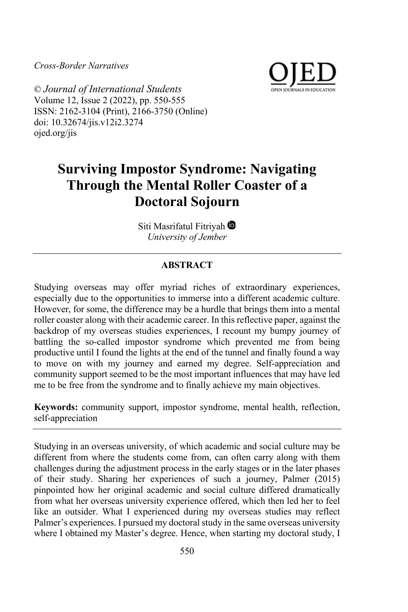*Cross-Border Narratives*



© *Journal of International Students* Volume 12, Issue 2 (2022), pp. 550-555 ISSN: 2162-3104 (Print), 2166-3750 (Online) doi: 10.32674/jis.v12i2.3274 ojed.org/jis

# **Surviving Impostor Syndrome: Navigating Through the Mental Roller Coaster of a Doctoral Sojourn**

Siti Masrifatul Fitriyah<sup>®</sup> *University of Jember*

## **ABSTRACT**

Studying overseas may offer myriad riches of extraordinary experiences, especially due to the opportunities to immerse into a different academic culture. However, for some, the difference may be a hurdle that brings them into a mental roller coaster along with their academic career. In this reflective paper, against the backdrop of my overseas studies experiences, I recount my bumpy journey of battling the so-called impostor syndrome which prevented me from being productive until I found the lights at the end of the tunnel and finally found a way to move on with my journey and earned my degree. Self-appreciation and community support seemed to be the most important influences that may have led me to be free from the syndrome and to finally achieve my main objectives.

**Keywords:** community support, impostor syndrome, mental health, reflection, self-appreciation

Studying in an overseas university, of which academic and social culture may be different from where the students come from, can often carry along with them challenges during the adjustment process in the early stages or in the later phases of their study. Sharing her experiences of such a journey, Palmer (2015) pinpointed how her original academic and social culture differed dramatically from what her overseas university experience offered, which then led her to feel like an outsider. What I experienced during my overseas studies may reflect Palmer's experiences. I pursued my doctoral study in the same overseas university where I obtained my Master's degree. Hence, when starting my doctoral study, I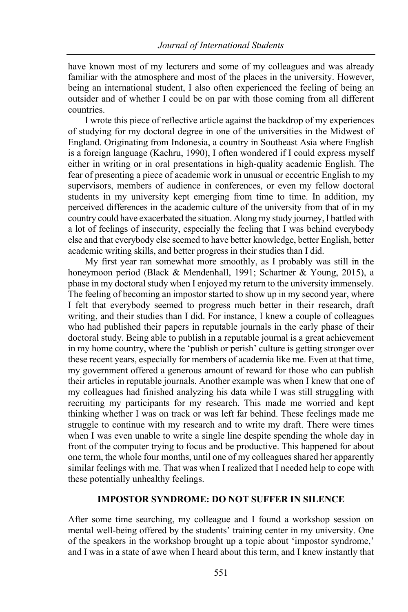have known most of my lecturers and some of my colleagues and was already familiar with the atmosphere and most of the places in the university. However, being an international student, I also often experienced the feeling of being an outsider and of whether I could be on par with those coming from all different countries.

I wrote this piece of reflective article against the backdrop of my experiences of studying for my doctoral degree in one of the universities in the Midwest of England. Originating from Indonesia, a country in Southeast Asia where English is a foreign language (Kachru, 1990), I often wondered if I could express myself either in writing or in oral presentations in high-quality academic English. The fear of presenting a piece of academic work in unusual or eccentric English to my supervisors, members of audience in conferences, or even my fellow doctoral students in my university kept emerging from time to time. In addition, my perceived differences in the academic culture of the university from that of in my country could have exacerbated the situation. Along my study journey, I battled with a lot of feelings of insecurity, especially the feeling that I was behind everybody else and that everybody else seemed to have better knowledge, better English, better academic writing skills, and better progress in their studies than I did.

My first year ran somewhat more smoothly, as I probably was still in the honeymoon period (Black & Mendenhall, 1991; Schartner & Young, 2015), a phase in my doctoral study when I enjoyed my return to the university immensely. The feeling of becoming an impostor started to show up in my second year, where I felt that everybody seemed to progress much better in their research, draft writing, and their studies than I did. For instance, I knew a couple of colleagues who had published their papers in reputable journals in the early phase of their doctoral study. Being able to publish in a reputable journal is a great achievement in my home country, where the 'publish or perish' culture is getting stronger over these recent years, especially for members of academia like me. Even at that time, my government offered a generous amount of reward for those who can publish their articles in reputable journals. Another example was when I knew that one of my colleagues had finished analyzing his data while I was still struggling with recruiting my participants for my research. This made me worried and kept thinking whether I was on track or was left far behind. These feelings made me struggle to continue with my research and to write my draft. There were times when I was even unable to write a single line despite spending the whole day in front of the computer trying to focus and be productive. This happened for about one term, the whole four months, until one of my colleagues shared her apparently similar feelings with me. That was when I realized that I needed help to cope with these potentially unhealthy feelings.

#### **IMPOSTOR SYNDROME: DO NOT SUFFER IN SILENCE**

After some time searching, my colleague and I found a workshop session on mental well-being offered by the students' training center in my university. One of the speakers in the workshop brought up a topic about 'impostor syndrome,' and I was in a state of awe when I heard about this term, and I knew instantly that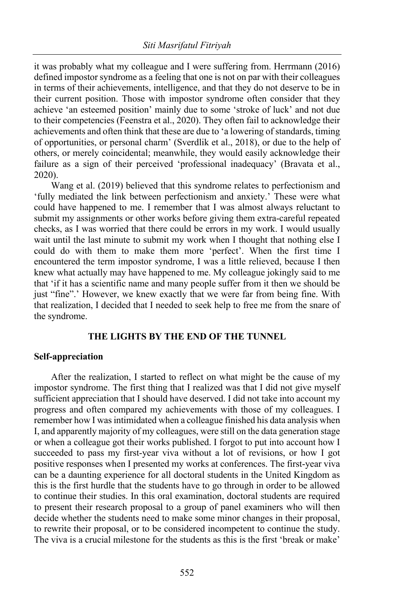it was probably what my colleague and I were suffering from. Herrmann (2016) defined impostor syndrome as a feeling that one is not on par with their colleagues in terms of their achievements, intelligence, and that they do not deserve to be in their current position. Those with impostor syndrome often consider that they achieve 'an esteemed position' mainly due to some 'stroke of luck' and not due to their competencies (Feenstra et al., 2020). They often fail to acknowledge their achievements and often think that these are due to 'a lowering of standards, timing of opportunities, or personal charm' (Sverdlik et al., 2018), or due to the help of others, or merely coincidental; meanwhile, they would easily acknowledge their failure as a sign of their perceived 'professional inadequacy' (Bravata et al., 2020).

Wang et al. (2019) believed that this syndrome relates to perfectionism and 'fully mediated the link between perfectionism and anxiety.' These were what could have happened to me. I remember that I was almost always reluctant to submit my assignments or other works before giving them extra-careful repeated checks, as I was worried that there could be errors in my work. I would usually wait until the last minute to submit my work when I thought that nothing else I could do with them to make them more 'perfect'. When the first time I encountered the term impostor syndrome, I was a little relieved, because I then knew what actually may have happened to me. My colleague jokingly said to me that 'if it has a scientific name and many people suffer from it then we should be just "fine".' However, we knew exactly that we were far from being fine. With that realization, I decided that I needed to seek help to free me from the snare of the syndrome.

#### **THE LIGHTS BY THE END OF THE TUNNEL**

#### **Self-appreciation**

After the realization, I started to reflect on what might be the cause of my impostor syndrome. The first thing that I realized was that I did not give myself sufficient appreciation that I should have deserved. I did not take into account my progress and often compared my achievements with those of my colleagues. I remember how I was intimidated when a colleague finished his data analysis when I, and apparently majority of my colleagues, were still on the data generation stage or when a colleague got their works published. I forgot to put into account how I succeeded to pass my first-year viva without a lot of revisions, or how I got positive responses when I presented my works at conferences. The first-year viva can be a daunting experience for all doctoral students in the United Kingdom as this is the first hurdle that the students have to go through in order to be allowed to continue their studies. In this oral examination, doctoral students are required to present their research proposal to a group of panel examiners who will then decide whether the students need to make some minor changes in their proposal, to rewrite their proposal, or to be considered incompetent to continue the study. The viva is a crucial milestone for the students as this is the first 'break or make'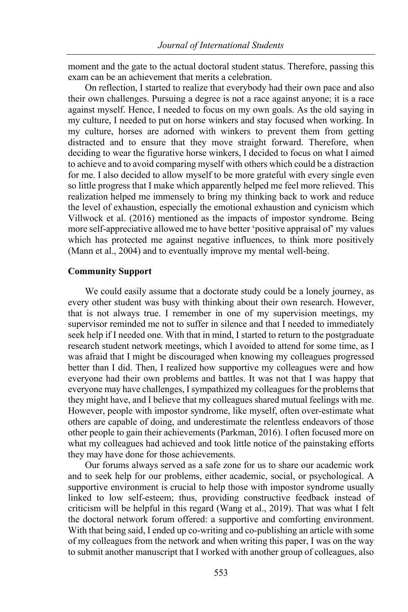moment and the gate to the actual doctoral student status. Therefore, passing this exam can be an achievement that merits a celebration.

On reflection, I started to realize that everybody had their own pace and also their own challenges. Pursuing a degree is not a race against anyone; it is a race against myself. Hence, I needed to focus on my own goals. As the old saying in my culture, I needed to put on horse winkers and stay focused when working. In my culture, horses are adorned with winkers to prevent them from getting distracted and to ensure that they move straight forward. Therefore, when deciding to wear the figurative horse winkers, I decided to focus on what I aimed to achieve and to avoid comparing myself with others which could be a distraction for me. I also decided to allow myself to be more grateful with every single even so little progress that I make which apparently helped me feel more relieved. This realization helped me immensely to bring my thinking back to work and reduce the level of exhaustion, especially the emotional exhaustion and cynicism which Villwock et al. (2016) mentioned as the impacts of impostor syndrome. Being more self-appreciative allowed me to have better 'positive appraisal of' my values which has protected me against negative influences, to think more positively (Mann et al., 2004) and to eventually improve my mental well-being.

#### **Community Support**

We could easily assume that a doctorate study could be a lonely journey, as every other student was busy with thinking about their own research. However, that is not always true. I remember in one of my supervision meetings, my supervisor reminded me not to suffer in silence and that I needed to immediately seek help if I needed one. With that in mind, I started to return to the postgraduate research student network meetings, which I avoided to attend for some time, as I was afraid that I might be discouraged when knowing my colleagues progressed better than I did. Then, I realized how supportive my colleagues were and how everyone had their own problems and battles. It was not that I was happy that everyone may have challenges, I sympathized my colleagues for the problems that they might have, and I believe that my colleagues shared mutual feelings with me. However, people with impostor syndrome, like myself, often over-estimate what others are capable of doing, and underestimate the relentless endeavors of those other people to gain their achievements (Parkman, 2016). I often focused more on what my colleagues had achieved and took little notice of the painstaking efforts they may have done for those achievements.

Our forums always served as a safe zone for us to share our academic work and to seek help for our problems, either academic, social, or psychological. A supportive environment is crucial to help those with impostor syndrome usually linked to low self-esteem; thus, providing constructive feedback instead of criticism will be helpful in this regard (Wang et al., 2019). That was what I felt the doctoral network forum offered: a supportive and comforting environment. With that being said, I ended up co-writing and co-publishing an article with some of my colleagues from the network and when writing this paper, I was on the way to submit another manuscript that I worked with another group of colleagues, also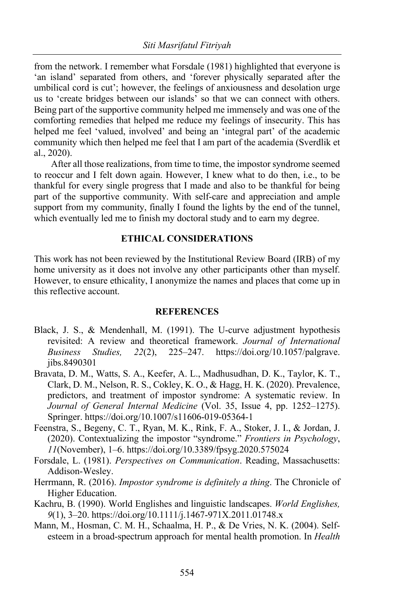from the network. I remember what Forsdale (1981) highlighted that everyone is 'an island' separated from others, and 'forever physically separated after the umbilical cord is cut'; however, the feelings of anxiousness and desolation urge us to 'create bridges between our islands' so that we can connect with others. Being part of the supportive community helped me immensely and was one of the comforting remedies that helped me reduce my feelings of insecurity. This has helped me feel 'valued, involved' and being an 'integral part' of the academic community which then helped me feel that I am part of the academia (Sverdlik et al., 2020).

After all those realizations, from time to time, the impostor syndrome seemed to reoccur and I felt down again. However, I knew what to do then, i.e., to be thankful for every single progress that I made and also to be thankful for being part of the supportive community. With self-care and appreciation and ample support from my community, finally I found the lights by the end of the tunnel, which eventually led me to finish my doctoral study and to earn my degree.

### **ETHICAL CONSIDERATIONS**

This work has not been reviewed by the Institutional Review Board (IRB) of my home university as it does not involve any other participants other than myself. However, to ensure ethicality, I anonymize the names and places that come up in this reflective account.

#### **REFERENCES**

- Black, J. S., & Mendenhall, M. (1991). The U-curve adjustment hypothesis revisited: A review and theoretical framework. *Journal of International Business Studies, 22*(2), 225–247. https://doi.org/10.1057/palgrave. jibs.8490301
- Bravata, D. M., Watts, S. A., Keefer, A. L., Madhusudhan, D. K., Taylor, K. T., Clark, D. M., Nelson, R. S., Cokley, K. O., & Hagg, H. K. (2020). Prevalence, predictors, and treatment of impostor syndrome: A systematic review. In *Journal of General Internal Medicine* (Vol. 35, Issue 4, pp. 1252–1275). Springer. https://doi.org/10.1007/s11606-019-05364-1
- Feenstra, S., Begeny, C. T., Ryan, M. K., Rink, F. A., Stoker, J. I., & Jordan, J. (2020). Contextualizing the impostor "syndrome." *Frontiers in Psychology*, *11*(November), 1–6. https://doi.org/10.3389/fpsyg.2020.575024
- Forsdale, L. (1981). *Perspectives on Communication*. Reading, Massachusetts: Addison-Wesley.
- Herrmann, R. (2016). *Impostor syndrome is definitely a thing*. The Chronicle of Higher Education.
- Kachru, B. (1990). World Englishes and linguistic landscapes. *World Englishes, 9*(1), 3–20. https://doi.org/10.1111/j.1467-971X.2011.01748.x
- Mann, M., Hosman, C. M. H., Schaalma, H. P., & De Vries, N. K. (2004). Selfesteem in a broad-spectrum approach for mental health promotion. In *Health*